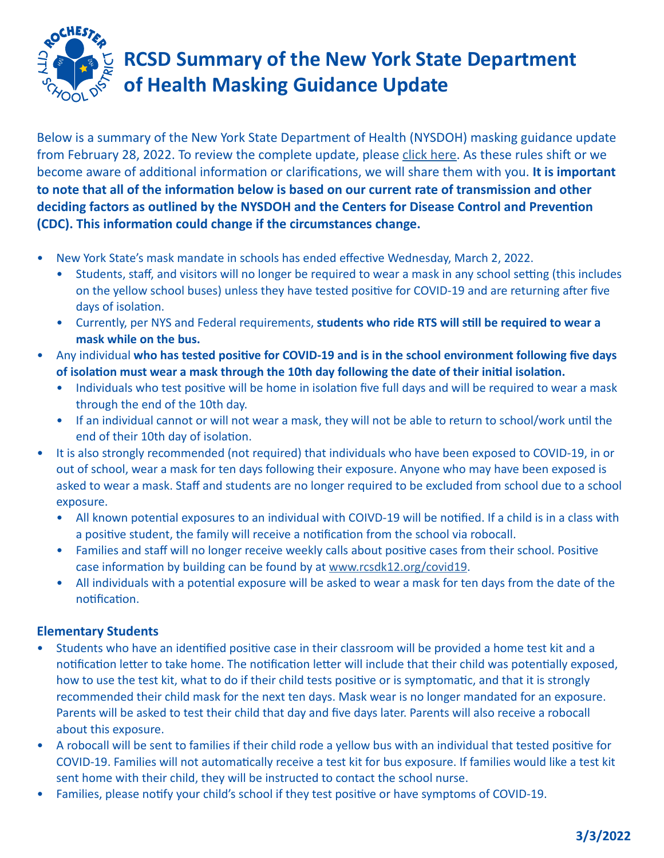

## **RCSD Summary of the New York State Department of Health Masking Guidance Update**

Below is a summary of the New York State Department of Health (NYSDOH) masking guidance update from February 28, 2022. To review the complete update, please [click here](https://coronavirus.health.ny.gov/system/files/documents/2022/03/school-guidance-03.01.22_0.pdf). As these rules shift or we become aware of additional information or clarifications, we will share them with you. **It is important to note that all of the information below is based on our current rate of transmission and other deciding factors as outlined by the NYSDOH and the Centers for Disease Control and Prevention (CDC). This information could change if the circumstances change.**

- New York State's mask mandate in schools has ended effective Wednesday, March 2, 2022.
	- Students, staff, and visitors will no longer be required to wear a mask in any school setting (this includes on the yellow school buses) unless they have tested positive for COVID-19 and are returning after five days of isolation.
	- Currently, per NYS and Federal requirements, **students who ride RTS will still be required to wear a mask while on the bus.**
- Any individual **who has tested positive for COVID-19 and is in the school environment following five days of isolation must wear a mask through the 10th day following the date of their initial isolation.** 
	- Individuals who test positive will be home in isolation five full days and will be required to wear a mask through the end of the 10th day.
	- If an individual cannot or will not wear a mask, they will not be able to return to school/work until the end of their 10th day of isolation.
- It is also strongly recommended (not required) that individuals who have been exposed to COVID-19, in or out of school, wear a mask for ten days following their exposure. Anyone who may have been exposed is asked to wear a mask. Staff and students are no longer required to be excluded from school due to a school exposure.
	- All known potential exposures to an individual with COIVD-19 will be notified. If a child is in a class with a positive student, the family will receive a notification from the school via robocall.
	- Families and staff will no longer receive weekly calls about positive cases from their school. Positive case information by building can be found by at [www.rcsdk12.org/covid19](https://www.rcsdk12.org/covid19).
	- All individuals with a potential exposure will be asked to wear a mask for ten days from the date of the notification.

## **Elementary Students**

- Students who have an identified positive case in their classroom will be provided a home test kit and a notification letter to take home. The notification letter will include that their child was potentially exposed, how to use the test kit, what to do if their child tests positive or is symptomatic, and that it is strongly recommended their child mask for the next ten days. Mask wear is no longer mandated for an exposure. Parents will be asked to test their child that day and five days later. Parents will also receive a robocall about this exposure.
- A robocall will be sent to families if their child rode a yellow bus with an individual that tested positive for COVID-19. Families will not automatically receive a test kit for bus exposure. If families would like a test kit sent home with their child, they will be instructed to contact the school nurse.
- Families, please notify your child's school if they test positive or have symptoms of COVID-19.